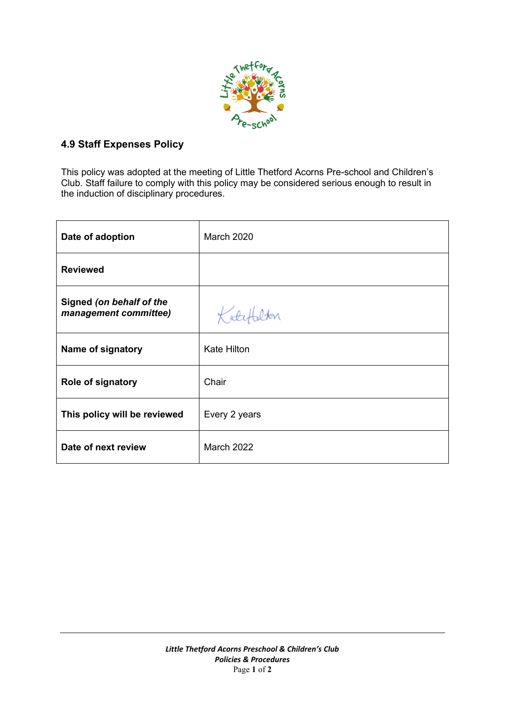

# **4.9 Staff Expenses Policy**

This policy was adopted at the meeting of Little Thetford Acorns Pre-school and Children's Club. Staff failure to comply with this policy may be considered serious enough to result in the induction of disciplinary procedures.

| Date of adoption                                  | <b>March 2020</b>  |
|---------------------------------------------------|--------------------|
| <b>Reviewed</b>                                   |                    |
| Signed (on behalf of the<br>management committee) | Kotet              |
| Name of signatory                                 | <b>Kate Hilton</b> |
| Role of signatory                                 | Chair              |
| This policy will be reviewed                      | Every 2 years      |
| Date of next review                               | March 2022         |